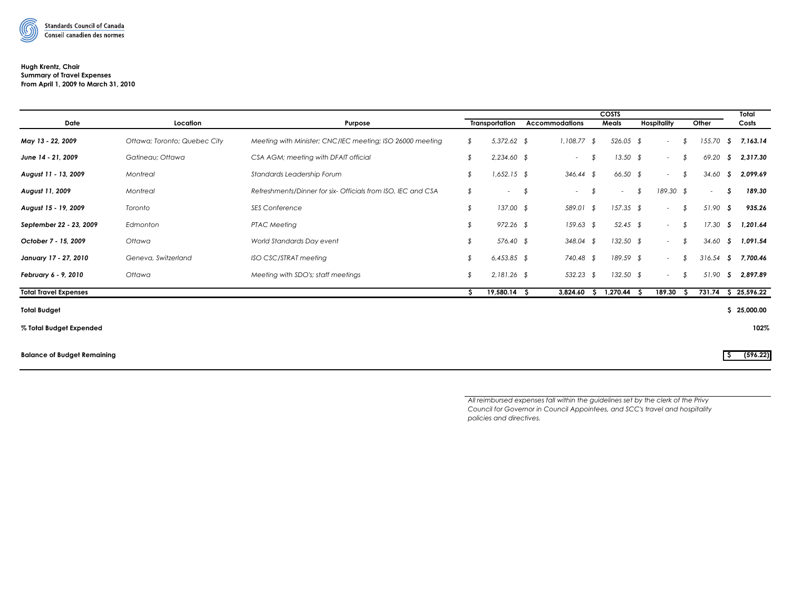

## **Hugh Krentz, Chair Summary of Travel Expenses**

**From April 1, 2009 to March 31, 2010**

|                                    |                              |                                                              | COSTS |                |    |                       |    |                         |                    |              |            |     |             |  |
|------------------------------------|------------------------------|--------------------------------------------------------------|-------|----------------|----|-----------------------|----|-------------------------|--------------------|--------------|------------|-----|-------------|--|
| Date                               | Location                     | Purpose                                                      |       | Transportation |    | <b>Accommodations</b> |    | Meals                   | <b>Hospitality</b> |              | Other      |     | Costs       |  |
| May 13 - 22, 2009                  | Ottawa; Toronto; Quebec City | Meeting with Minister; CNC/IEC meeting; ISO 26000 meeting    | \$    | $5,372.62$ \$  |    | $1,108.77$ \$         |    | $526.05$ \$             |                    | \$<br>$\sim$ | 155.70     | S.  | 7, 163. 14  |  |
| June 14 - 21, 2009                 | Gatineau; Ottawa             | CSA AGM; meeting with DFAIT official                         | \$    | $2,234.60$ \$  |    | $\sim$                | \$ | $13.50$ \$              |                    | \$<br>$\sim$ | 69.20      | S.  | 2,317.30    |  |
| August 11 - 13, 2009               | Montreal                     | Standards Leadership Forum                                   | \$    | $1,652.15$ \$  |    | $346.44$ \$           |    | $66.50$ \$              |                    | \$<br>$\sim$ | 34.60      | S.  | 2,099.69    |  |
| August 11, 2009                    | Montreal                     | Refreshments/Dinner for six- Officials from ISO, IEC and CSA | \$    | $\sim 100$     | \$ | $\sim$                | \$ | $\sim$ 10 $\,$          | \$                 | 189.30 \$    | $\sim$     | S   | 189.30      |  |
| August 15 - 19, 2009               | Toronto                      | <b>SES Conference</b>                                        | \$    | $137.00$ \$    |    | 589.01 \$             |    | $157.35$ \$             |                    | \$<br>$\sim$ | $51.90$ \$ |     | 935.26      |  |
| September 22 - 23, 2009            | Edmonton                     | <b>PTAC Meeting</b>                                          | \$    | 972.26 \$      |    | $159.63$ \$           |    | 52.45 \$                |                    | \$<br>$\sim$ | 17.30      | -S  | 1,201.64    |  |
| October 7 - 15, 2009               | Ottawa                       | World Standards Day event                                    | \$    | 576.40 \$      |    | 348.04 \$             |    | $132.50$ \$             |                    | \$<br>$\sim$ | 34.60      | -S  | 1,091.54    |  |
| January 17 - 27, 2010              | Geneva, Switzerland          | ISO CSC/STRAT meeting                                        | \$    | $6,453.85$ \$  |    | 740.48 \$             |    | 189.59 \$               |                    | \$<br>$\sim$ | 316.54     | S.  | 7.700.46    |  |
| February 6 - 9, 2010               | Ottawa                       | Meeting with SDO's; staff meetings                           | \$    | $2,181.26$ \$  |    | 532.23 \$             |    | $132.50$ \$             |                    | \$<br>$\sim$ | 51.90      | - S | 2,897.89    |  |
| <b>Total Travel Expenses</b>       |                              |                                                              | s.    | $19,580.14$ \$ |    |                       |    | 3,824.60 \$ 1,270.44 \$ |                    | 189.30<br>S. | 731.74     |     | \$25,596.22 |  |
| <b>Total Budget</b>                |                              |                                                              |       |                |    |                       |    |                         |                    |              |            | s   | 25,000.00   |  |
| % Total Budget Expended            |                              |                                                              |       |                |    |                       |    |                         |                    |              |            |     | 102%        |  |
| <b>Balance of Budget Remaining</b> |                              |                                                              |       |                |    |                       |    |                         |                    |              |            | IS. | (596.22)    |  |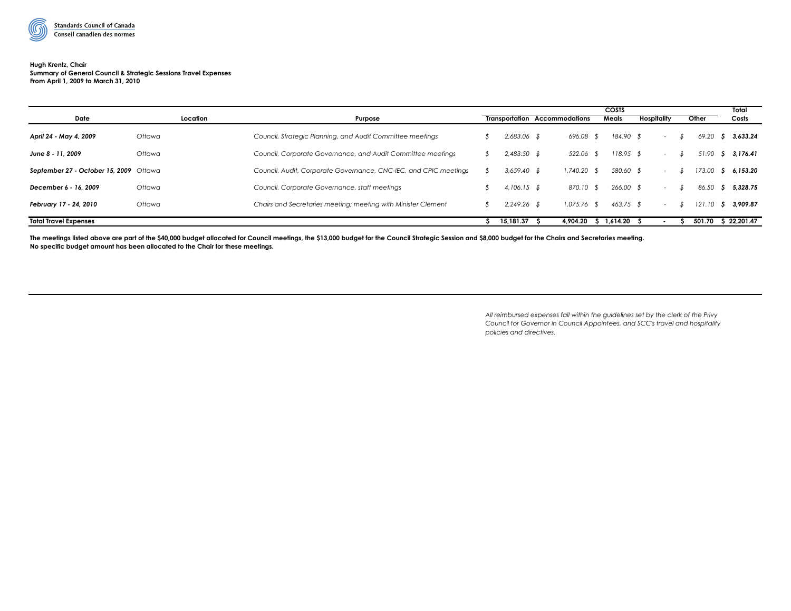

#### **Hugh Krentz, Chair Summary of General Council & Strategic Sessions Travel Expenses From April 1, 2009 to March 31, 2010**

| Date                                   | Location | Purpose                                                          |               | <b>Transportation Accommodations</b> | <b>COSTS</b><br>Meals | Hospitality | Other  | Total<br>Costs |  |
|----------------------------------------|----------|------------------------------------------------------------------|---------------|--------------------------------------|-----------------------|-------------|--------|----------------|--|
|                                        |          |                                                                  |               |                                      |                       |             |        |                |  |
| April 24 - May 4, 2009                 | Ottawa   | Council, Strategic Planning, and Audit Committee meetings        | 2,683.06 \$   | 696.08 \$                            | 184.90 \$             | $\sim$      | 69.20  | \$3.633.24     |  |
| June 8 - 11, 2009                      | Ottawa   | Council, Corporate Governance, and Audit Committee meetings      | $2,483.50$ \$ | 522.06 \$                            | 118.95 \$             | $\sim$      | 51.90  | \$3,176.41     |  |
| September 27 - October 15, 2009 Ottawa |          | Council, Audit, Corporate Governance, CNC-IEC, and CPIC meetings | $3,659.40$ \$ | $1,740.20$ \$                        | 580.60                | $\sim$      | 173.00 | \$6,153.20     |  |
| December 6 - 16, 2009                  | Ottawa   | Council, Corporate Governance, staff meetings                    | $4,106.15$ \$ | 870.10 \$                            | $266.00$ \$           | $\sim$      | 86.50  | \$5,328.75     |  |
| February 17 - 24, 2010                 | Ottawa   | Chairs and Secretaries meeting; meeting with Minister Clement    | $2.249.26$ \$ | $1.075.76$ \$                        | $463.75$ \$           | $\sim$      | 121.10 | S 3,909.87     |  |
| <b>Total Travel Expenses</b>           |          |                                                                  | 15.181.37     | 4.904.20                             | 1.614.20              |             | 501.70 | \$22,201.47    |  |

The meetings listed above are part of the \$40,000 budget allocated for Council meetings, the \$13,000 budget for the Council Strategic Session and \$8,000 budget for the Chairs and Secretaries meeting. **No specific budget amount has been allocated to the Chair for these meetings.**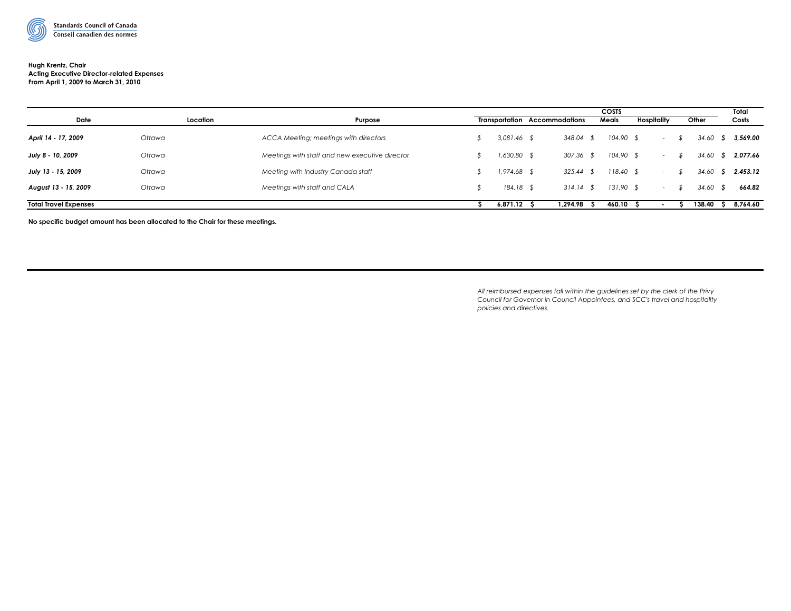

# Conseil canadien des normes

### **Hugh Krentz, Chair Acting Executive Director-related Expenses From April 1, 2009 to March 31, 2010**

| Date                         | Location | Purpose                                        |               | <b>Transportation Accommodations</b> | <b>COSTS</b><br>Meals | Hospitality |                  | Other   |    | Total<br>Costs |
|------------------------------|----------|------------------------------------------------|---------------|--------------------------------------|-----------------------|-------------|------------------|---------|----|----------------|
| April 14 - 17, 2009          | Ottawa   | ACCA Meeting; meetings with directors          | $3,081.46$ \$ | 348.04 \$                            | $104.90$ \$           |             | $\sim$ $\sim$    | 34.60   |    | \$3,569.00     |
| July 8 - 10, 2009            | Ottawa   | Meetings with staff and new executive director | $1,630.80$ \$ | $307.36$ \$                          | $104.90$ \$           |             | $\sim$           | 34.60   | -S | 2,077.66       |
| July 13 - 15, 2009           | Ottawa   | Meeting with Industry Canada staff             | $1,974.68$ \$ | $325.44$ \$                          | $118.40$ \$           |             | $\sim$ 10 $\,$   | 34.60   |    | \$2,453.12     |
| August 13 - 15, 2009         | Ottawa   | Meetings with staff and CALA                   | $184.18$ \$   | $314.14$ \$                          | $131.90$ \$           |             | $\sim$ 100 $\mu$ | 34.60 S |    | 664.82         |
| <b>Total Travel Expenses</b> |          |                                                | 6,871.12      | 1.294.98                             | 460.10                |             |                  | 138.40  |    | 8,764.60       |

**No specific budget amount has been allocated to the Chair for these meetings.**